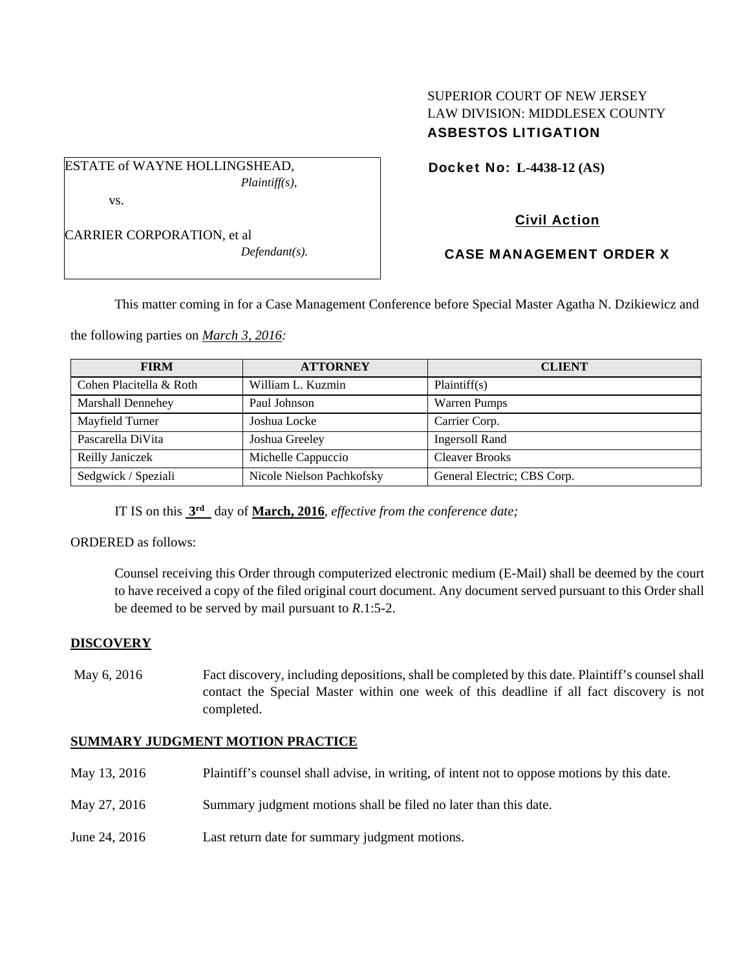# SUPERIOR COURT OF NEW JERSEY LAW DIVISION: MIDDLESEX COUNTY ASBESTOS LITIGATION

Docket No: **L-4438-12 (AS)** 

CARRIER CORPORATION, et al

vs.

ESTATE of WAYNE HOLLINGSHEAD,

*Defendant(s).* 

*Plaintiff(s),* 

# Civil Action

## CASE MANAGEMENT ORDER X

This matter coming in for a Case Management Conference before Special Master Agatha N. Dzikiewicz and

the following parties on *March 3, 2016:* 

| <b>FIRM</b>              | <b>ATTORNEY</b>           | <b>CLIENT</b>               |
|--------------------------|---------------------------|-----------------------------|
| Cohen Placitella & Roth  | William L. Kuzmin         | Plaintiff(s)                |
| <b>Marshall Dennehey</b> | Paul Johnson              | <b>Warren Pumps</b>         |
| Mayfield Turner          | Joshua Locke              | Carrier Corp.               |
| Pascarella DiVita        | Joshua Greeley            | <b>Ingersoll Rand</b>       |
| Reilly Janiczek          | Michelle Cappuccio        | <b>Cleaver Brooks</b>       |
| Sedgwick / Speziali      | Nicole Nielson Pachkofsky | General Electric; CBS Corp. |

IT IS on this **3rd** day of **March, 2016**, *effective from the conference date;*

#### ORDERED as follows:

Counsel receiving this Order through computerized electronic medium (E-Mail) shall be deemed by the court to have received a copy of the filed original court document. Any document served pursuant to this Order shall be deemed to be served by mail pursuant to *R*.1:5-2.

### **DISCOVERY**

May 6, 2016 Fact discovery, including depositions, shall be completed by this date. Plaintiff's counsel shall contact the Special Master within one week of this deadline if all fact discovery is not completed.

### **SUMMARY JUDGMENT MOTION PRACTICE**

| May 13, 2016  | Plaintiff's counsel shall advise, in writing, of intent not to oppose motions by this date. |
|---------------|---------------------------------------------------------------------------------------------|
| May 27, 2016  | Summary judgment motions shall be filed no later than this date.                            |
| June 24, 2016 | Last return date for summary judgment motions.                                              |